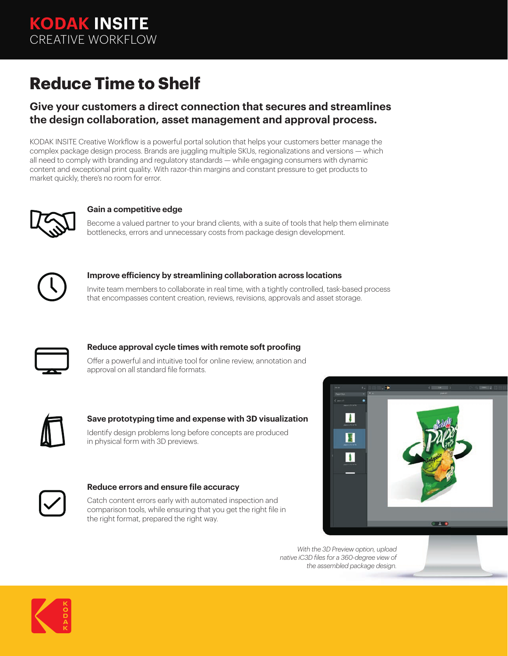**KODAK INSITE** CREATIVE WORKFLOW

# **Reduce Time to Shelf**

### **Give your customers a direct connection that secures and streamlines the design collaboration, asset management and approval process.**

KODAK INSITE Creative Workflow is a powerful portal solution that helps your customers better manage the complex package design process. Brands are juggling multiple SKUs, regionalizations and versions — which all need to comply with branding and regulatory standards — while engaging consumers with dynamic content and exceptional print quality. With razor-thin margins and constant pressure to get products to market quickly, there's no room for error.



#### **Gain a competitive edge**

Become a valued partner to your brand clients, with a suite of tools that help them eliminate bottlenecks, errors and unnecessary costs from package design development.



#### **Improve efficiency by streamlining collaboration across locations**

Invite team members to collaborate in real time, with a tightly controlled, task-based process that encompasses content creation, reviews, revisions, approvals and asset storage.



#### **Reduce approval cycle times with remote soft proofing**

Offer a powerful and intuitive tool for online review, annotation and approval on all standard file formats.



#### **Save prototyping time and expense with 3D visualization**

Identify design problems long before concepts are produced in physical form with 3D previews.



#### **Reduce errors and ensure file accuracy**

Catch content errors early with automated inspection and comparison tools, while ensuring that you get the right file in the right format, prepared the right way.



*With the 3D Preview option, upload native iC3D files for a 360-degree view of the assembled package design.*